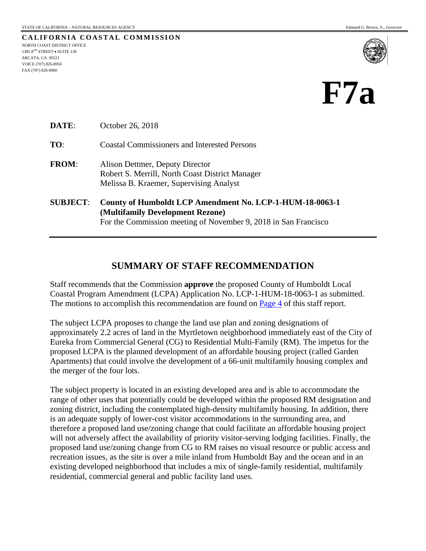**CALIFORNIA COASTAL COMMISSION** NORTH COAST DISTRICT OFFICE 1385 8TH STREET • SUITE 130 ARCATA, CA 95521 VOICE (707) 826-8950 FAX (707) 826-8960



# **F7a**

| <b>DATE:</b>    | October 26, 2018                                                                                                                                                |  |  |
|-----------------|-----------------------------------------------------------------------------------------------------------------------------------------------------------------|--|--|
| TO:             | <b>Coastal Commissioners and Interested Persons</b>                                                                                                             |  |  |
| <b>FROM:</b>    | Alison Dettmer, Deputy Director<br>Robert S. Merrill, North Coast District Manager<br>Melissa B. Kraemer, Supervising Analyst                                   |  |  |
| <b>SUBJECT:</b> | County of Humboldt LCP Amendment No. LCP-1-HUM-18-0063-1<br>(Multifamily Development Rezone)<br>For the Commission meeting of November 9, 2018 in San Francisco |  |  |

## **SUMMARY OF STAFF RECOMMENDATION**

Staff recommends that the Commission **approve** the proposed County of Humboldt Local Coastal Program Amendment (LCPA) Application No. LCP-1-HUM-18-0063-1 as submitted. The motions to accomplish this recommendation are found on **Page 4** of this staff report.

The subject LCPA proposes to change the land use plan and zoning designations of approximately 2.2 acres of land in the Myrtletown neighborhood immediately east of the City of Eureka from Commercial General (CG) to Residential Multi-Family (RM). The impetus for the proposed LCPA is the planned development of an affordable housing project (called Garden Apartments) that could involve the development of a 66-unit multifamily housing complex and the merger of the four lots.

The subject property is located in an existing developed area and is able to accommodate the range of other uses that potentially could be developed within the proposed RM designation and zoning district, including the contemplated high-density multifamily housing. In addition, there is an adequate supply of lower-cost visitor accommodations in the surrounding area, and therefore a proposed land use/zoning change that could facilitate an affordable housing project will not adversely affect the availability of priority visitor-serving lodging facilities. Finally, the proposed land use/zoning change from CG to RM raises no visual resource or public access and recreation issues, as the site is over a mile inland from Humboldt Bay and the ocean and in an existing developed neighborhood that includes a mix of single-family residential, multifamily residential, commercial general and public facility land uses.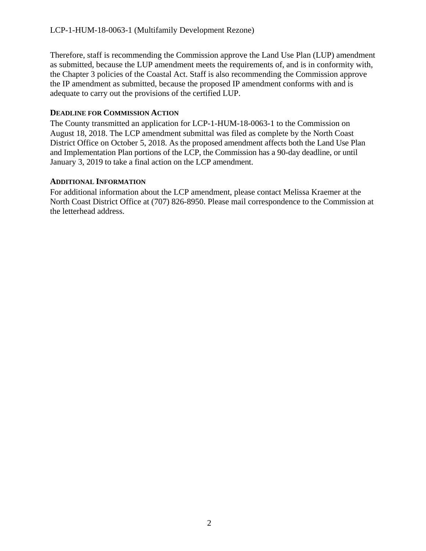Therefore, staff is recommending the Commission approve the Land Use Plan (LUP) amendment as submitted, because the LUP amendment meets the requirements of, and is in conformity with, the Chapter 3 policies of the Coastal Act. Staff is also recommending the Commission approve the IP amendment as submitted, because the proposed IP amendment conforms with and is adequate to carry out the provisions of the certified LUP.

### **DEADLINE FOR COMMISSION ACTION**

The County transmitted an application for LCP-1-HUM-18-0063-1 to the Commission on August 18, 2018. The LCP amendment submittal was filed as complete by the North Coast District Office on October 5, 2018. As the proposed amendment affects both the Land Use Plan and Implementation Plan portions of the LCP, the Commission has a 90-day deadline, or until January 3, 2019 to take a final action on the LCP amendment.

## **ADDITIONAL INFORMATION**

For additional information about the LCP amendment, please contact Melissa Kraemer at the North Coast District Office at (707) 826-8950. Please mail correspondence to the Commission at the letterhead address.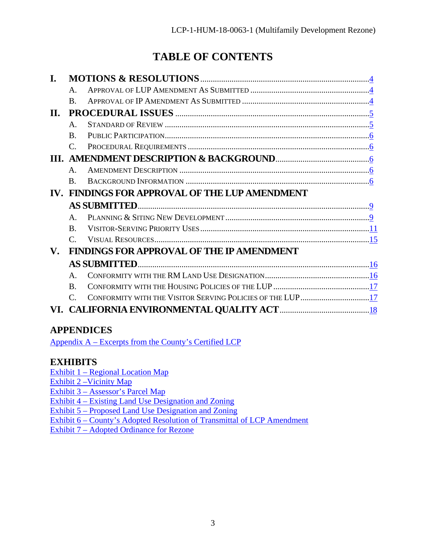## **TABLE OF CONTENTS**

|                        | $\mathsf{A}$                |                                                           |  |  |  |
|------------------------|-----------------------------|-----------------------------------------------------------|--|--|--|
|                        | $\bf{B}$                    |                                                           |  |  |  |
| Н.                     |                             |                                                           |  |  |  |
|                        | $\mathsf{A}$ .              |                                                           |  |  |  |
|                        | $\bf{B}$                    |                                                           |  |  |  |
|                        | $\mathcal{C}_{\cdot}$       |                                                           |  |  |  |
|                        |                             |                                                           |  |  |  |
|                        | $\mathsf{A}$                |                                                           |  |  |  |
|                        | $\bf{B}$                    |                                                           |  |  |  |
|                        |                             | FINDINGS FOR APPROVAL OF THE LUP AMENDMENT                |  |  |  |
|                        |                             |                                                           |  |  |  |
|                        | $\mathbf{A}$                |                                                           |  |  |  |
|                        | $\bf{B}$                    |                                                           |  |  |  |
|                        | $\mathcal{C}_{\mathcal{C}}$ |                                                           |  |  |  |
| $\mathbf{V}_{\bullet}$ |                             | <b>FINDINGS FOR APPROVAL OF THE IP AMENDMENT</b>          |  |  |  |
|                        |                             |                                                           |  |  |  |
|                        | $\mathsf{A}$                |                                                           |  |  |  |
|                        | $\bf{B}$                    |                                                           |  |  |  |
|                        | $\mathcal{C}_{\cdot}$       | CONFORMITY WITH THE VISITOR SERVING POLICIES OF THE LUP17 |  |  |  |
|                        |                             |                                                           |  |  |  |
|                        |                             |                                                           |  |  |  |

## **APPENDICES**

Appendix A – [Excerpts from the County's](https://documents.coastal.ca.gov/reports/2018/11/f7a/f7a-11-2018-appendix.pdf) Certified LCP

## **EXHIBITS**

Exhibit 1 – [Regional Location Map](https://documents.coastal.ca.gov/reports/2018/11/f7a/f7a-11-2018-exhibits.pdf)  Exhibit 2 – Vicinity Map Exhibit 3 – [Assessor's Parcel](https://documents.coastal.ca.gov/reports/2018/11/f7a/f7a-11-2018-exhibits.pdf) Map Exhibit 4 – [Existing Land Use Designation and Zoning](https://documents.coastal.ca.gov/reports/2018/11/f7a/f7a-11-2018-exhibits.pdf) Exhibit 5 – [Proposed Land Use Designation and Zoning](https://documents.coastal.ca.gov/reports/2018/11/f7a/f7a-11-2018-exhibits.pdf)  Exhibit 6 – County's Adopted [Resolution of Transmittal of LCP Amendment](https://documents.coastal.ca.gov/reports/2018/11/f7a/f7a-11-2018-exhibits.pdf)  Exhibit 7 – [Adopted Ordinance](https://documents.coastal.ca.gov/reports/2018/11/f7a/f7a-11-2018-exhibits.pdf) for Rezone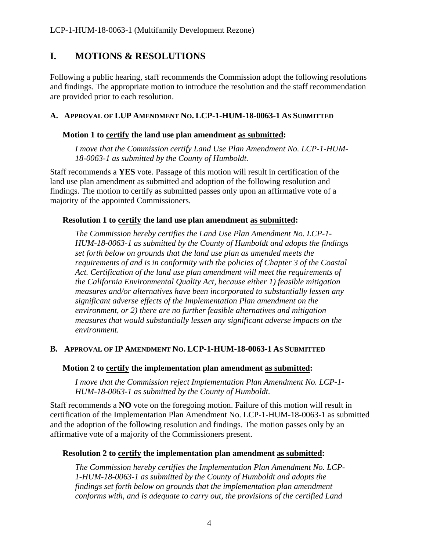## <span id="page-3-0"></span>**I. MOTIONS & RESOLUTIONS**

Following a public hearing, staff recommends the Commission adopt the following resolutions and findings. The appropriate motion to introduce the resolution and the staff recommendation are provided prior to each resolution.

#### **A. APPROVAL OF LUP AMENDMENT NO. LCP-1-HUM-18-0063-1 AS SUBMITTED**

#### **Motion 1 to certify the land use plan amendment as submitted:**

*I move that the Commission certify Land Use Plan Amendment No. LCP-1-HUM-18-0063-1 as submitted by the County of Humboldt.*

Staff recommends a **YES** vote. Passage of this motion will result in certification of the land use plan amendment as submitted and adoption of the following resolution and findings. The motion to certify as submitted passes only upon an affirmative vote of a majority of the appointed Commissioners.

#### **Resolution 1 to certify the land use plan amendment as submitted:**

*The Commission hereby certifies the Land Use Plan Amendment No. LCP-1- HUM-18-0063-1 as submitted by the County of Humboldt and adopts the findings set forth below on grounds that the land use plan as amended meets the requirements of and is in conformity with the policies of Chapter 3 of the Coastal Act. Certification of the land use plan amendment will meet the requirements of the California Environmental Quality Act, because either 1) feasible mitigation measures and/or alternatives have been incorporated to substantially lessen any significant adverse effects of the Implementation Plan amendment on the environment, or 2) there are no further feasible alternatives and mitigation measures that would substantially lessen any significant adverse impacts on the environment.*

#### **B. APPROVAL OF IP AMENDMENT NO. LCP-1-HUM-18-0063-1 AS SUBMITTED**

#### **Motion 2 to certify the implementation plan amendment as submitted:**

*I move that the Commission reject Implementation Plan Amendment No. LCP-1- HUM-18-0063-1 as submitted by the County of Humboldt.*

Staff recommends a **NO** vote on the foregoing motion. Failure of this motion will result in certification of the Implementation Plan Amendment No. LCP-1-HUM-18-0063-1 as submitted and the adoption of the following resolution and findings. The motion passes only by an affirmative vote of a majority of the Commissioners present.

#### **Resolution 2 to certify the implementation plan amendment as submitted:**

*The Commission hereby certifies the Implementation Plan Amendment No. LCP-1-HUM-18-0063-1 as submitted by the County of Humboldt and adopts the findings set forth below on grounds that the implementation plan amendment conforms with, and is adequate to carry out, the provisions of the certified Land*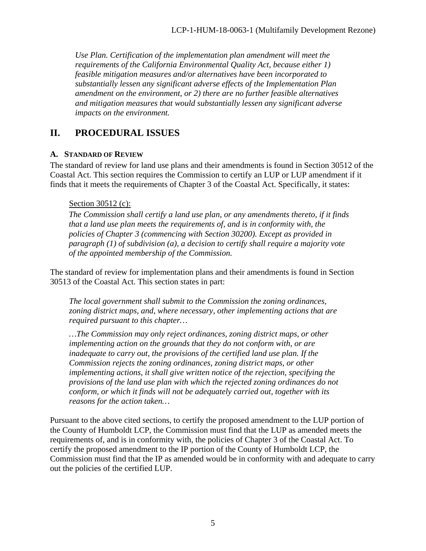*Use Plan. Certification of the implementation plan amendment will meet the requirements of the California Environmental Quality Act, because either 1) feasible mitigation measures and/or alternatives have been incorporated to substantially lessen any significant adverse effects of the Implementation Plan amendment on the environment, or 2) there are no further feasible alternatives and mitigation measures that would substantially lessen any significant adverse impacts on the environment.*

## <span id="page-4-0"></span>**II. PROCEDURAL ISSUES**

## <span id="page-4-1"></span>**A. STANDARD OF REVIEW**

The standard of review for land use plans and their amendments is found in Section 30512 of the Coastal Act. This section requires the Commission to certify an LUP or LUP amendment if it finds that it meets the requirements of Chapter 3 of the Coastal Act. Specifically, it states:

#### Section 30512 (c):

*The Commission shall certify a land use plan, or any amendments thereto, if it finds that a land use plan meets the requirements of, and is in conformity with, the policies of Chapter 3 (commencing with Section 30200). Except as provided in paragraph (1) of subdivision (a), a decision to certify shall require a majority vote of the appointed membership of the Commission.*

The standard of review for implementation plans and their amendments is found in Section 30513 of the Coastal Act. This section states in part:

*The local government shall submit to the Commission the zoning ordinances, zoning district maps, and, where necessary, other implementing actions that are required pursuant to this chapter…*

*…The Commission may only reject ordinances, zoning district maps, or other implementing action on the grounds that they do not conform with, or are inadequate to carry out, the provisions of the certified land use plan. If the Commission rejects the zoning ordinances, zoning district maps, or other implementing actions, it shall give written notice of the rejection, specifying the provisions of the land use plan with which the rejected zoning ordinances do not conform, or which it finds will not be adequately carried out, together with its reasons for the action taken…*

Pursuant to the above cited sections, to certify the proposed amendment to the LUP portion of the County of Humboldt LCP, the Commission must find that the LUP as amended meets the requirements of, and is in conformity with, the policies of Chapter 3 of the Coastal Act. To certify the proposed amendment to the IP portion of the County of Humboldt LCP, the Commission must find that the IP as amended would be in conformity with and adequate to carry out the policies of the certified LUP.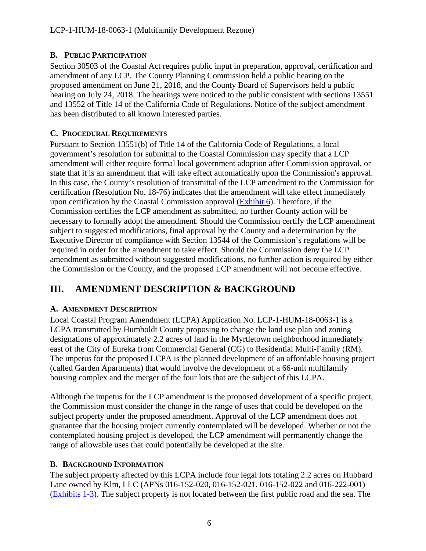## <span id="page-5-0"></span>**B. PUBLIC PARTICIPATION**

Section 30503 of the Coastal Act requires public input in preparation, approval, certification and amendment of any LCP. The County Planning Commission held a public hearing on the proposed amendment on June 21, 2018, and the County Board of Supervisors held a public hearing on July 24, 2018. The hearings were noticed to the public consistent with sections 13551 and 13552 of Title 14 of the California Code of Regulations. Notice of the subject amendment has been distributed to all known interested parties.

## <span id="page-5-1"></span>**C. PROCEDURAL REQUIREMENTS**

Pursuant to Section 13551(b) of Title 14 of the California Code of Regulations, a local government's resolution for submittal to the Coastal Commission may specify that a LCP amendment will either require formal local government adoption after Commission approval, or state that it is an amendment that will take effect automatically upon the Commission's approval. In this case, the County's resolution of transmittal of the LCP amendment to the Commission for certification (Resolution No. 18-76) indicates that the amendment will take effect immediately upon certification by the Coastal Commission approval [\(Exhibit 6\)](https://documents.coastal.ca.gov/reports/2018/11/f7a/f7a-11-2018-exhibits.pdf). Therefore, if the Commission certifies the LCP amendment as submitted, no further County action will be necessary to formally adopt the amendment. Should the Commission certify the LCP amendment subject to suggested modifications, final approval by the County and a determination by the Executive Director of compliance with Section 13544 of the Commission's regulations will be required in order for the amendment to take effect. Should the Commission deny the LCP amendment as submitted without suggested modifications, no further action is required by either the Commission or the County, and the proposed LCP amendment will not become effective.

## <span id="page-5-2"></span>**III. AMENDMENT DESCRIPTION & BACKGROUND**

## <span id="page-5-3"></span>**A. AMENDMENT DESCRIPTION**

Local Coastal Program Amendment (LCPA) Application No. LCP-1-HUM-18-0063-1 is a LCPA transmitted by Humboldt County proposing to change the land use plan and zoning designations of approximately 2.2 acres of land in the Myrtletown neighborhood immediately east of the City of Eureka from Commercial General (CG) to Residential Multi-Family (RM). The impetus for the proposed LCPA is the planned development of an affordable housing project (called Garden Apartments) that would involve the development of a 66-unit multifamily housing complex and the merger of the four lots that are the subject of this LCPA.

Although the impetus for the LCP amendment is the proposed development of a specific project, the Commission must consider the change in the range of uses that could be developed on the subject property under the proposed amendment. Approval of the LCP amendment does not guarantee that the housing project currently contemplated will be developed. Whether or not the contemplated housing project is developed, the LCP amendment will permanently change the range of allowable uses that could potentially be developed at the site.

## <span id="page-5-4"></span>**B. BACKGROUND INFORMATION**

The subject property affected by this LCPA include four legal lots totaling 2.2 acres on Hubbard Lane owned by Klm, LLC (APNs 016-152-020, 016-152-021, 016-152-022 and 016-222-001) [\(Exhibits 1-3\)](https://documents.coastal.ca.gov/reports/2018/11/f7a/f7a-11-2018-exhibits.pdf). The subject property is not located between the first public road and the sea. The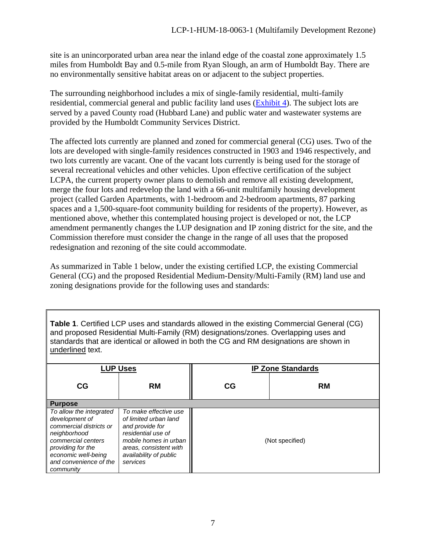site is an unincorporated urban area near the inland edge of the coastal zone approximately 1.5 miles from Humboldt Bay and 0.5-mile from Ryan Slough, an arm of Humboldt Bay. There are no environmentally sensitive habitat areas on or adjacent to the subject properties.

The surrounding neighborhood includes a mix of single-family residential, multi-family residential, commercial general and public facility land uses [\(Exhibit 4\)](https://documents.coastal.ca.gov/reports/2018/11/f7a/f7a-11-2018-exhibits.pdf). The subject lots are served by a paved County road (Hubbard Lane) and public water and wastewater systems are provided by the Humboldt Community Services District.

The affected lots currently are planned and zoned for commercial general (CG) uses. Two of the lots are developed with single-family residences constructed in 1903 and 1946 respectively, and two lots currently are vacant. One of the vacant lots currently is being used for the storage of several recreational vehicles and other vehicles. Upon effective certification of the subject LCPA, the current property owner plans to demolish and remove all existing development, merge the four lots and redevelop the land with a 66-unit multifamily housing development project (called Garden Apartments, with 1-bedroom and 2-bedroom apartments, 87 parking spaces and a 1,500-square-foot community building for residents of the property). However, as mentioned above, whether this contemplated housing project is developed or not, the LCP amendment permanently changes the LUP designation and IP zoning district for the site, and the Commission therefore must consider the change in the range of all uses that the proposed redesignation and rezoning of the site could accommodate.

As summarized in Table 1 below, under the existing certified LCP, the existing Commercial General (CG) and the proposed Residential Medium-Density/Multi-Family (RM) land use and zoning designations provide for the following uses and standards:

**Table 1**. Certified LCP uses and standards allowed in the existing Commercial General (CG) and proposed Residential Multi-Family (RM) designations/zones. Overlapping uses and standards that are identical or allowed in both the CG and RM designations are shown in underlined text.

|                                                                                                                                                                                               | <b>LUP Uses</b>                                                                                                                                                                  | <b>IP Zone Standards</b> |                 |  |  |  |  |
|-----------------------------------------------------------------------------------------------------------------------------------------------------------------------------------------------|----------------------------------------------------------------------------------------------------------------------------------------------------------------------------------|--------------------------|-----------------|--|--|--|--|
| CG                                                                                                                                                                                            | <b>RM</b>                                                                                                                                                                        | CG                       | <b>RM</b>       |  |  |  |  |
| <b>Purpose</b>                                                                                                                                                                                |                                                                                                                                                                                  |                          |                 |  |  |  |  |
| To allow the integrated<br>development of<br>commercial districts or<br>neighborhood<br>commercial centers<br>providing for the<br>economic well-being<br>and convenience of the<br>community | To make effective use<br>of limited urban land<br>and provide for<br>residential use of<br>mobile homes in urban<br>areas, consistent with<br>availability of public<br>services |                          | (Not specified) |  |  |  |  |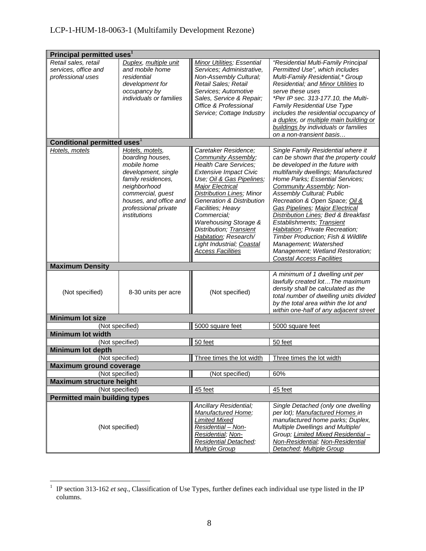## LCP-1-HUM-18-0063-1 (Multifamily Development Rezone)

| Principal permitted uses <sup>1</sup>                                                                                                                                                                                         |                                                                                                                                                                                                                                                                                                                                                                                                                                                      |                                                                                                                                                                                                                                                                                                                                                                                                                                                                                                                                                                                                                                                                                                                             |  |  |  |  |  |  |
|-------------------------------------------------------------------------------------------------------------------------------------------------------------------------------------------------------------------------------|------------------------------------------------------------------------------------------------------------------------------------------------------------------------------------------------------------------------------------------------------------------------------------------------------------------------------------------------------------------------------------------------------------------------------------------------------|-----------------------------------------------------------------------------------------------------------------------------------------------------------------------------------------------------------------------------------------------------------------------------------------------------------------------------------------------------------------------------------------------------------------------------------------------------------------------------------------------------------------------------------------------------------------------------------------------------------------------------------------------------------------------------------------------------------------------------|--|--|--|--|--|--|
| Duplex, multiple unit<br>and mobile home<br>residential<br>development for<br>occupancy by<br>individuals or families                                                                                                         | Services; Administrative,<br>Non-Assembly Cultural;<br>Retail Sales; Retail<br>Services; Automotive<br>Sales, Service & Repair;<br>Office & Professional<br>Service; Cottage Industry                                                                                                                                                                                                                                                                | "Residential Multi-Family Principal<br>Permitted Use", which includes<br>Multi-Family Residential,* Group<br>Residential; and Minor Utilities to<br>serve these uses<br>*Per IP sec. 313-177.10, the Multi-<br><b>Family Residential Use Type</b><br>includes the residential occupancy of<br>a duplex, or multiple main building or<br>buildings by individuals or families<br>on a non-transient basis                                                                                                                                                                                                                                                                                                                    |  |  |  |  |  |  |
|                                                                                                                                                                                                                               |                                                                                                                                                                                                                                                                                                                                                                                                                                                      |                                                                                                                                                                                                                                                                                                                                                                                                                                                                                                                                                                                                                                                                                                                             |  |  |  |  |  |  |
| Hotels, motels,<br>boarding houses,<br>mobile home<br>development, single<br>family residences,<br>neighborhood<br>commercial, guest<br>houses, and office and<br>professional private<br>institutions<br>8-30 units per acre | Caretaker Residence;<br><b>Community Assembly;</b><br><b>Health Care Services;</b><br><b>Extensive Impact Civic</b><br>Use; Oil & Gas Pipelines;<br><b>Major Electrical</b><br><b>Distribution Lines; Minor</b><br><b>Generation &amp; Distribution</b><br>Facilities; Heavy<br>Commercial;<br>Warehousing Storage &<br>Distribution; Transient<br>Habitation; Research/<br>Light Industrial; Coastal<br><b>Access Facilities</b><br>(Not specified) | Single Family Residential where it<br>can be shown that the property could<br>be developed in the future with<br>multifamily dwellings; Manufactured<br>Home Parks; Essential Services;<br>Community Assembly; Non-<br>Assembly Cultural; Public<br>Recreation & Open Space; Oil &<br>Gas Pipelines; Major Electrical<br>Distribution Lines; Bed & Breakfast<br>Establishments; Transient<br>Habitation; Private Recreation;<br>Timber Production; Fish & Wildlife<br>Management; Watershed<br>Management; Wetland Restoration;<br><b>Coastal Access Facilities</b><br>A minimum of 1 dwelling unit per<br>lawfully created lot The maximum<br>density shall be calculated as the<br>total number of dwelling units divided |  |  |  |  |  |  |
|                                                                                                                                                                                                                               |                                                                                                                                                                                                                                                                                                                                                                                                                                                      | by the total area within the lot and<br>within one-half of any adjacent street                                                                                                                                                                                                                                                                                                                                                                                                                                                                                                                                                                                                                                              |  |  |  |  |  |  |
|                                                                                                                                                                                                                               |                                                                                                                                                                                                                                                                                                                                                                                                                                                      |                                                                                                                                                                                                                                                                                                                                                                                                                                                                                                                                                                                                                                                                                                                             |  |  |  |  |  |  |
|                                                                                                                                                                                                                               |                                                                                                                                                                                                                                                                                                                                                                                                                                                      | 5000 square feet                                                                                                                                                                                                                                                                                                                                                                                                                                                                                                                                                                                                                                                                                                            |  |  |  |  |  |  |
|                                                                                                                                                                                                                               |                                                                                                                                                                                                                                                                                                                                                                                                                                                      | 50 feet                                                                                                                                                                                                                                                                                                                                                                                                                                                                                                                                                                                                                                                                                                                     |  |  |  |  |  |  |
|                                                                                                                                                                                                                               |                                                                                                                                                                                                                                                                                                                                                                                                                                                      |                                                                                                                                                                                                                                                                                                                                                                                                                                                                                                                                                                                                                                                                                                                             |  |  |  |  |  |  |
|                                                                                                                                                                                                                               |                                                                                                                                                                                                                                                                                                                                                                                                                                                      | Three times the lot width                                                                                                                                                                                                                                                                                                                                                                                                                                                                                                                                                                                                                                                                                                   |  |  |  |  |  |  |
| <b>Maximum ground coverage</b>                                                                                                                                                                                                |                                                                                                                                                                                                                                                                                                                                                                                                                                                      |                                                                                                                                                                                                                                                                                                                                                                                                                                                                                                                                                                                                                                                                                                                             |  |  |  |  |  |  |
| (Not specified)                                                                                                                                                                                                               |                                                                                                                                                                                                                                                                                                                                                                                                                                                      | 60%                                                                                                                                                                                                                                                                                                                                                                                                                                                                                                                                                                                                                                                                                                                         |  |  |  |  |  |  |
| <b>Maximum structure height</b>                                                                                                                                                                                               |                                                                                                                                                                                                                                                                                                                                                                                                                                                      |                                                                                                                                                                                                                                                                                                                                                                                                                                                                                                                                                                                                                                                                                                                             |  |  |  |  |  |  |
| (Not specified)                                                                                                                                                                                                               | 45 feet                                                                                                                                                                                                                                                                                                                                                                                                                                              | 45 feet                                                                                                                                                                                                                                                                                                                                                                                                                                                                                                                                                                                                                                                                                                                     |  |  |  |  |  |  |
| <b>Permitted main building types</b>                                                                                                                                                                                          |                                                                                                                                                                                                                                                                                                                                                                                                                                                      |                                                                                                                                                                                                                                                                                                                                                                                                                                                                                                                                                                                                                                                                                                                             |  |  |  |  |  |  |
| (Not specified)                                                                                                                                                                                                               | Ancillary Residential;<br>Manufactured Home;<br><b>Limited Mixed</b><br>Residential - Non-<br>Residential; Non-<br><b>Residential Detached;</b>                                                                                                                                                                                                                                                                                                      | Single Detached (only one dwelling<br>per lot); Manufactured Homes in<br>manufactured home parks; Duplex,<br>Multiple Dwellings and Multiple/<br>Group; Limited Mixed Residential-<br>Non-Residential; Non-Residential<br>Detached; Multiple Group                                                                                                                                                                                                                                                                                                                                                                                                                                                                          |  |  |  |  |  |  |
|                                                                                                                                                                                                                               | Conditional permitted uses <sup>1</sup><br>(Not specified)<br>(Not specified)<br>(Not specified)                                                                                                                                                                                                                                                                                                                                                     | <b>Minor Utilities; Essential</b><br>5000 square feet<br>50 feet<br>Three times the lot width<br>(Not specified)<br><b>Multiple Group</b>                                                                                                                                                                                                                                                                                                                                                                                                                                                                                                                                                                                   |  |  |  |  |  |  |

<sup>&</sup>lt;sup>1</sup> IP section 313-162 *et seq.*, Classification of Use Types, further defines each individual use type listed in the IP columns.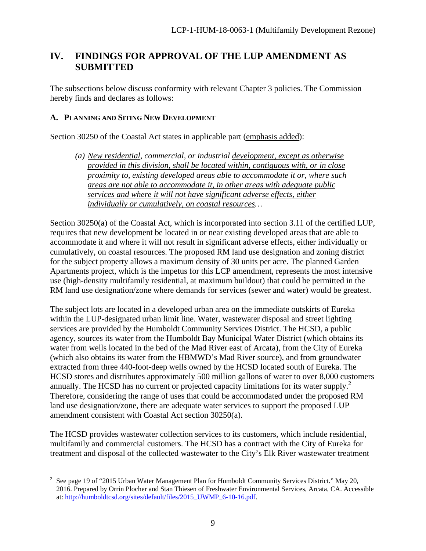## <span id="page-8-0"></span>**IV. FINDINGS FOR APPROVAL OF THE LUP AMENDMENT AS SUBMITTED**

The subsections below discuss conformity with relevant Chapter 3 policies. The Commission hereby finds and declares as follows:

#### <span id="page-8-1"></span>**A. PLANNING AND SITING NEW DEVELOPMENT**

Section 30250 of the Coastal Act states in applicable part (emphasis added):

*(a) New residential, commercial, or industrial development, except as otherwise provided in this division, shall be located within, contiguous with, or in close proximity to, existing developed areas able to accommodate it or, where such areas are not able to accommodate it, in other areas with adequate public services and where it will not have significant adverse effects, either individually or cumulatively, on coastal resources…*

Section 30250(a) of the Coastal Act, which is incorporated into section 3.11 of the certified LUP, requires that new development be located in or near existing developed areas that are able to accommodate it and where it will not result in significant adverse effects, either individually or cumulatively, on coastal resources. The proposed RM land use designation and zoning district for the subject property allows a maximum density of 30 units per acre. The planned Garden Apartments project, which is the impetus for this LCP amendment, represents the most intensive use (high-density multifamily residential, at maximum buildout) that could be permitted in the RM land use designation/zone where demands for services (sewer and water) would be greatest.

The subject lots are located in a developed urban area on the immediate outskirts of Eureka within the LUP-designated urban limit line. Water, wastewater disposal and street lighting services are provided by the Humboldt Community Services District. The HCSD, a public agency, sources its water from the Humboldt Bay Municipal Water District (which obtains its water from wells located in the bed of the Mad River east of Arcata), from the City of Eureka (which also obtains its water from the HBMWD's Mad River source), and from groundwater extracted from three 440-foot-deep wells owned by the HCSD located south of Eureka. The HCSD stores and distributes approximately 500 million gallons of water to over 8,000 customers annually. The HCSD has no current or projected capacity limitations for its water supply. 2 Therefore, considering the range of uses that could be accommodated under the proposed RM land use designation/zone, there are adequate water services to support the proposed LUP amendment consistent with Coastal Act section 30250(a).

The HCSD provides wastewater collection services to its customers, which include residential, multifamily and commercial customers. The HCSD has a contract with the City of Eureka for treatment and disposal of the collected wastewater to the City's Elk River wastewater treatment

<sup>&</sup>lt;sup>2</sup> See page 19 of "2015 Urban Water Management Plan for Humboldt Community Services District." May 20, 2016. Prepared by Orrin Plocher and Stan Thiesen of Freshwater Environmental Services, Arcata, CA. Accessible at: [http://humboldtcsd.org/sites/default/files/2015\\_UWMP\\_6-10-16.pdf.](http://humboldtcsd.org/sites/default/files/2015_UWMP_6-10-16.pdf)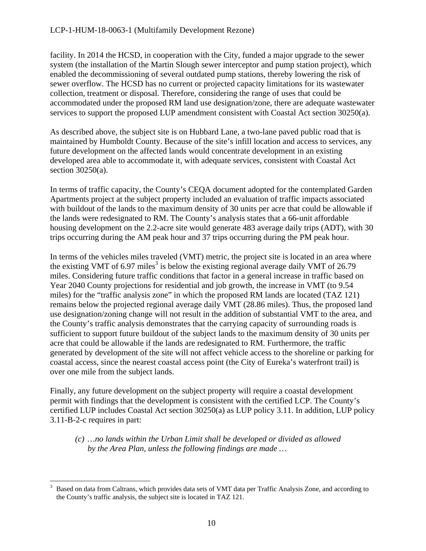facility. In 2014 the HCSD, in cooperation with the City, funded a major upgrade to the sewer system (the installation of the Martin Slough sewer interceptor and pump station project), which enabled the decommissioning of several outdated pump stations, thereby lowering the risk of sewer overflow. The HCSD has no current or projected capacity limitations for its wastewater collection, treatment or disposal. Therefore, considering the range of uses that could be accommodated under the proposed RM land use designation/zone, there are adequate wastewater services to support the proposed LUP amendment consistent with Coastal Act section 30250(a).

As described above, the subject site is on Hubbard Lane, a two-lane paved public road that is maintained by Humboldt County. Because of the site's infill location and access to services, any future development on the affected lands would concentrate development in an existing developed area able to accommodate it, with adequate services, consistent with Coastal Act section 30250(a).

In terms of traffic capacity, the County's CEQA document adopted for the contemplated Garden Apartments project at the subject property included an evaluation of traffic impacts associated with buildout of the lands to the maximum density of 30 units per acre that could be allowable if the lands were redesignated to RM. The County's analysis states that a 66-unit affordable housing development on the 2.2-acre site would generate 483 average daily trips (ADT), with 30 trips occurring during the AM peak hour and 37 trips occurring during the PM peak hour.

In terms of the vehicles miles traveled (VMT) metric, the project site is located in an area where the existing VMT of 6.97 miles<sup>3</sup> is below the existing regional average daily VMT of 26.79 miles. Considering future traffic conditions that factor in a general increase in traffic based on Year 2040 County projections for residential and job growth, the increase in VMT (to 9.54 miles) for the "traffic analysis zone" in which the proposed RM lands are located (TAZ 121) remains below the projected regional average daily VMT (28.86 miles). Thus, the proposed land use designation/zoning change will not result in the addition of substantial VMT to the area, and the County's traffic analysis demonstrates that the carrying capacity of surrounding roads is sufficient to support future buildout of the subject lands to the maximum density of 30 units per acre that could be allowable if the lands are redesignated to RM. Furthermore, the traffic generated by development of the site will not affect vehicle access to the shoreline or parking for coastal access, since the nearest coastal access point (the City of Eureka's waterfront trail) is over one mile from the subject lands.

Finally, any future development on the subject property will require a coastal development permit with findings that the development is consistent with the certified LCP. The County's certified LUP includes Coastal Act section 30250(a) as LUP policy 3.11. In addition, LUP policy 3.11-B-2-c requires in part:

*(c) …no lands within the Urban Limit shall be developed or divided as allowed by the Area Plan, unless the following findings are made …*

 <sup>3</sup> Based on data from Caltrans, which provides data sets of VMT data per Traffic Analysis Zone, and according to the County's traffic analysis, the subject site is located in TAZ 121.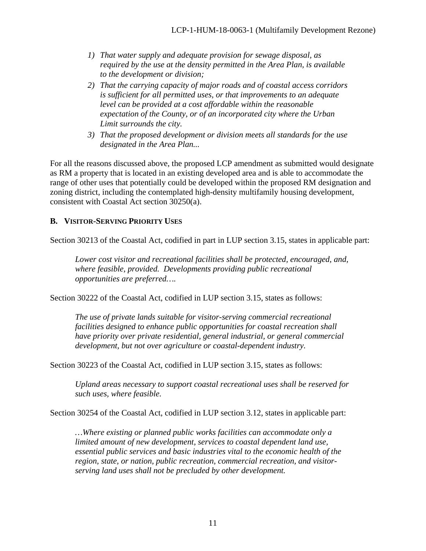- *1) That water supply and adequate provision for sewage disposal, as required by the use at the density permitted in the Area Plan, is available to the development or division;*
- *2) That the carrying capacity of major roads and of coastal access corridors is sufficient for all permitted uses, or that improvements to an adequate level can be provided at a cost affordable within the reasonable expectation of the County, or of an incorporated city where the Urban Limit surrounds the city.*
- *3) That the proposed development or division meets all standards for the use designated in the Area Plan...*

For all the reasons discussed above, the proposed LCP amendment as submitted would designate as RM a property that is located in an existing developed area and is able to accommodate the range of other uses that potentially could be developed within the proposed RM designation and zoning district, including the contemplated high-density multifamily housing development, consistent with Coastal Act section 30250(a).

## <span id="page-10-0"></span>**B. VISITOR-SERVING PRIORITY USES**

Section 30213 of the Coastal Act, codified in part in LUP section 3.15, states in applicable part:

*Lower cost visitor and recreational facilities shall be protected, encouraged, and, where feasible, provided. Developments providing public recreational opportunities are preferred….*

Section 30222 of the Coastal Act, codified in LUP section 3.15, states as follows:

*The use of private lands suitable for visitor-serving commercial recreational facilities designed to enhance public opportunities for coastal recreation shall have priority over private residential, general industrial, or general commercial development, but not over agriculture or coastal-dependent industry.*

Section 30223 of the Coastal Act, codified in LUP section 3.15, states as follows:

*Upland areas necessary to support coastal recreational uses shall be reserved for such uses, where feasible.*

Section 30254 of the Coastal Act, codified in LUP section 3.12, states in applicable part:

*…Where existing or planned public works facilities can accommodate only a limited amount of new development, services to coastal dependent land use, essential public services and basic industries vital to the economic health of the region, state, or nation, public recreation, commercial recreation, and visitorserving land uses shall not be precluded by other development.*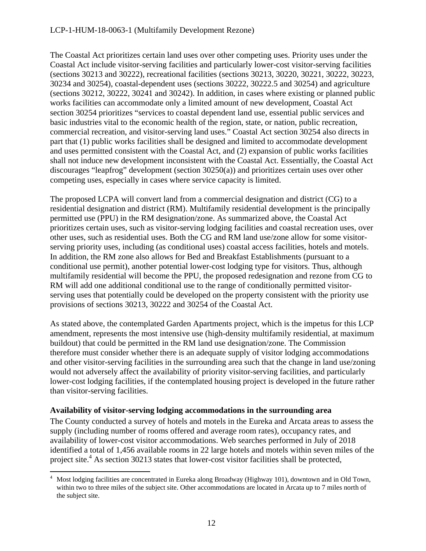#### LCP-1-HUM-18-0063-1 (Multifamily Development Rezone)

The Coastal Act prioritizes certain land uses over other competing uses. Priority uses under the Coastal Act include visitor-serving facilities and particularly lower-cost visitor-serving facilities (sections 30213 and 30222), recreational facilities (sections 30213, 30220, 30221, 30222, 30223, 30234 and 30254), coastal-dependent uses (sections 30222, 30222.5 and 30254) and agriculture (sections 30212, 30222, 30241 and 30242). In addition, in cases where existing or planned public works facilities can accommodate only a limited amount of new development, Coastal Act section 30254 prioritizes "services to coastal dependent land use, essential public services and basic industries vital to the economic health of the region, state, or nation, public recreation, commercial recreation, and visitor-serving land uses." Coastal Act section 30254 also directs in part that (1) public works facilities shall be designed and limited to accommodate development and uses permitted consistent with the Coastal Act, and (2) expansion of public works facilities shall not induce new development inconsistent with the Coastal Act. Essentially, the Coastal Act discourages "leapfrog" development (section 30250(a)) and prioritizes certain uses over other competing uses, especially in cases where service capacity is limited.

The proposed LCPA will convert land from a commercial designation and district (CG) to a residential designation and district (RM). Multifamily residential development is the principally permitted use (PPU) in the RM designation/zone. As summarized above, the Coastal Act prioritizes certain uses, such as visitor-serving lodging facilities and coastal recreation uses, over other uses, such as residential uses. Both the CG and RM land use/zone allow for some visitorserving priority uses, including (as conditional uses) coastal access facilities, hotels and motels. In addition, the RM zone also allows for Bed and Breakfast Establishments (pursuant to a conditional use permit), another potential lower-cost lodging type for visitors. Thus, although multifamily residential will become the PPU, the proposed redesignation and rezone from CG to RM will add one additional conditional use to the range of conditionally permitted visitorserving uses that potentially could be developed on the property consistent with the priority use provisions of sections 30213, 30222 and 30254 of the Coastal Act.

As stated above, the contemplated Garden Apartments project, which is the impetus for this LCP amendment, represents the most intensive use (high-density multifamily residential, at maximum buildout) that could be permitted in the RM land use designation/zone. The Commission therefore must consider whether there is an adequate supply of visitor lodging accommodations and other visitor-serving facilities in the surrounding area such that the change in land use/zoning would not adversely affect the availability of priority visitor-serving facilities, and particularly lower-cost lodging facilities, if the contemplated housing project is developed in the future rather than visitor-serving facilities.

#### **Availability of visitor-serving lodging accommodations in the surrounding area**

The County conducted a survey of hotels and motels in the Eureka and Arcata areas to assess the supply (including number of rooms offered and average room rates), occupancy rates, and availability of lower-cost visitor accommodations. Web searches performed in July of 2018 identified a total of 1,456 available rooms in 22 large hotels and motels within seven miles of the project site.<sup>4</sup> As section 30213 states that lower-cost visitor facilities shall be protected,

 <sup>4</sup> Most lodging facilities are concentrated in Eureka along Broadway (Highway 101), downtown and in Old Town, within two to three miles of the subject site. Other accommodations are located in Arcata up to 7 miles north of the subject site.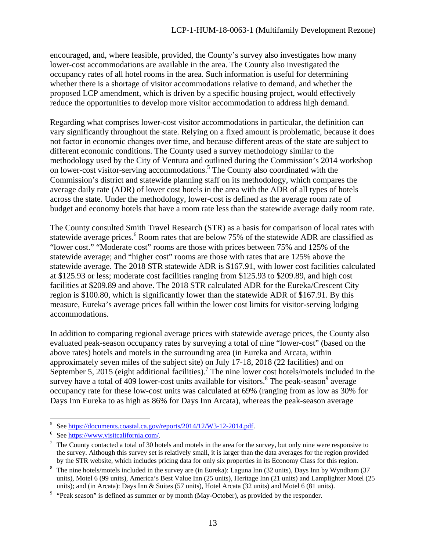encouraged, and, where feasible, provided, the County's survey also investigates how many lower-cost accommodations are available in the area. The County also investigated the occupancy rates of all hotel rooms in the area. Such information is useful for determining whether there is a shortage of visitor accommodations relative to demand, and whether the proposed LCP amendment, which is driven by a specific housing project, would effectively reduce the opportunities to develop more visitor accommodation to address high demand.

Regarding what comprises lower-cost visitor accommodations in particular, the definition can vary significantly throughout the state. Relying on a fixed amount is problematic, because it does not factor in economic changes over time, and because different areas of the state are subject to different economic conditions. The County used a survey methodology similar to the methodology used by the City of Ventura and outlined during the Commission's 2014 workshop on lower-cost visitor-serving accommodations. <sup>5</sup> The County also coordinated with the Commission's district and statewide planning staff on its methodology, which compares the average daily rate (ADR) of lower cost hotels in the area with the ADR of all types of hotels across the state. Under the methodology, lower-cost is defined as the average room rate of budget and economy hotels that have a room rate less than the statewide average daily room rate.

The County consulted Smith Travel Research (STR) as a basis for comparison of local rates with statewide average prices.<sup>6</sup> Room rates that are below 75% of the statewide ADR are classified as "lower cost." "Moderate cost" rooms are those with prices between 75% and 125% of the statewide average; and "higher cost" rooms are those with rates that are 125% above the statewide average. The 2018 STR statewide ADR is \$167.91, with lower cost facilities calculated at \$125.93 or less; moderate cost facilities ranging from \$125.93 to \$209.89, and high cost facilities at \$209.89 and above. The 2018 STR calculated ADR for the Eureka/Crescent City region is \$100.80, which is significantly lower than the statewide ADR of \$167.91. By this measure, Eureka's average prices fall within the lower cost limits for visitor-serving lodging accommodations.

In addition to comparing regional average prices with statewide average prices, the County also evaluated peak-season occupancy rates by surveying a total of nine "lower-cost" (based on the above rates) hotels and motels in the surrounding area (in Eureka and Arcata, within approximately seven miles of the subject site) on July 17-18, 2018 (22 facilities) and on September 5, 2015 (eight additional facilities).<sup>7</sup> The nine lower cost hotels/motels included in the survey have a total of  $409$  lower-cost units available for visitors.<sup>8</sup> The peak-season<sup>9</sup> average occupancy rate for these low-cost units was calculated at 69% (ranging from as low as 30% for Days Inn Eureka to as high as 86% for Days Inn Arcata), whereas the peak-season average

<sup>&</sup>lt;sup>5</sup> See <u>https://documents.coastal.ca.gov/reports/2014/12/W3-12-2014.pdf</u>.<br><sup>6</sup> See <u>https://www.visitcalifornia.com/</u>.<br><sup>7</sup> The County contacted a total of 30 hotels and motels in the area for the survey, but only nine wer the survey. Although this survey set is relatively small, it is larger than the data averages for the region provided by the STR website, which includes pricing data for only six properties in its Economy Class for this region.

<sup>8</sup> The nine hotels/motels included in the survey are (in Eureka): Laguna Inn (32 units), Days Inn by Wyndham (37 units), Motel 6 (99 units), America's Best Value Inn (25 units), Heritage Inn (21 units) and Lamplighter Motel (25 units); and (in Arcata): Days Inn & Suites (57 units), Hotel Arcata (32 units) and Motel 6 (81 units).

<sup>&</sup>lt;sup>9</sup> "Peak season" is defined as summer or by month (May-October), as provided by the responder.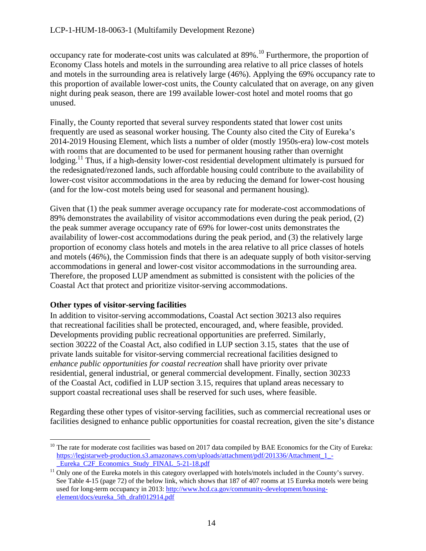occupancy rate for moderate-cost units was calculated at 89%.10 Furthermore, the proportion of Economy Class hotels and motels in the surrounding area relative to all price classes of hotels and motels in the surrounding area is relatively large (46%). Applying the 69% occupancy rate to this proportion of available lower-cost units, the County calculated that on average, on any given night during peak season, there are 199 available lower-cost hotel and motel rooms that go unused.

Finally, the County reported that several survey respondents stated that lower cost units frequently are used as seasonal worker housing. The County also cited the City of Eureka's 2014-2019 Housing Element, which lists a number of older (mostly 1950s-era) low-cost motels with rooms that are documented to be used for permanent housing rather than overnight lodging.<sup>11</sup> Thus, if a high-density lower-cost residential development ultimately is pursued for the redesignated/rezoned lands, such affordable housing could contribute to the availability of lower-cost visitor accommodations in the area by reducing the demand for lower-cost housing (and for the low-cost motels being used for seasonal and permanent housing).

Given that (1) the peak summer average occupancy rate for moderate-cost accommodations of 89% demonstrates the availability of visitor accommodations even during the peak period, (2) the peak summer average occupancy rate of 69% for lower-cost units demonstrates the availability of lower-cost accommodations during the peak period, and (3) the relatively large proportion of economy class hotels and motels in the area relative to all price classes of hotels and motels (46%), the Commission finds that there is an adequate supply of both visitor-serving accommodations in general and lower-cost visitor accommodations in the surrounding area. Therefore, the proposed LUP amendment as submitted is consistent with the policies of the Coastal Act that protect and prioritize visitor-serving accommodations.

## **Other types of visitor-serving facilities**

In addition to visitor-serving accommodations, Coastal Act section 30213 also requires that recreational facilities shall be protected, encouraged, and, where feasible, provided. Developments providing public recreational opportunities are preferred. Similarly, section 30222 of the Coastal Act, also codified in LUP section 3.15, states that the use of private lands suitable for visitor-serving commercial recreational facilities designed to *enhance public opportunities for coastal recreation* shall have priority over private residential, general industrial, or general commercial development. Finally, section 30233 of the Coastal Act, codified in LUP section 3.15, requires that upland areas necessary to support coastal recreational uses shall be reserved for such uses, where feasible.

Regarding these other types of visitor-serving facilities, such as commercial recreational uses or facilities designed to enhance public opportunities for coastal recreation, given the site's distance

 $10$  The rate for moderate cost facilities was based on 2017 data compiled by BAE Economics for the City of Eureka: [https://legistarweb-production.s3.amazonaws.com/uploads/attachment/pdf/201336/Attachment\\_1\\_-](https://legistarweb-production.s3.amazonaws.com/uploads/attachment/pdf/201336/Attachment_1_-_Eureka_C2F_Economics_Study_FINAL_5-21-18.pdf) Eureka\_C2F\_Economics\_Study\_FINAL\_5-21-18.pdf

 $11$  Only one of the Eureka motels in this category overlapped with hotels/motels included in the County's survey. See Table 4-15 (page 72) of the below link, which shows that 187 of 407 rooms at 15 Eureka motels were being used for long-term occupancy in 2013[: http://www.hcd.ca.gov/community-development/housing](http://www.hcd.ca.gov/community-development/housing-element/docs/eureka_5th_draft012914.pdf)[element/docs/eureka\\_5th\\_draft012914.pdf](http://www.hcd.ca.gov/community-development/housing-element/docs/eureka_5th_draft012914.pdf)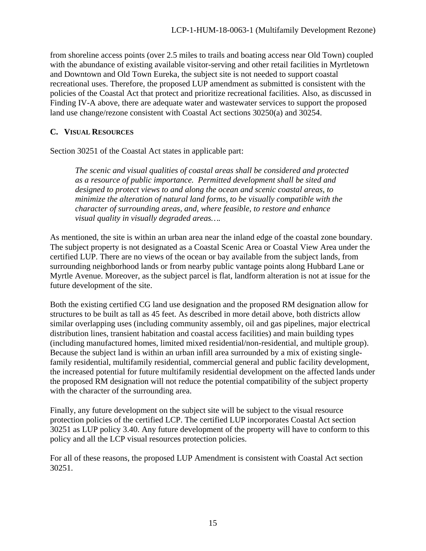from shoreline access points (over 2.5 miles to trails and boating access near Old Town) coupled with the abundance of existing available visitor-serving and other retail facilities in Myrtletown and Downtown and Old Town Eureka, the subject site is not needed to support coastal recreational uses. Therefore, the proposed LUP amendment as submitted is consistent with the policies of the Coastal Act that protect and prioritize recreational facilities. Also, as discussed in Finding IV-A above, there are adequate water and wastewater services to support the proposed land use change/rezone consistent with Coastal Act sections 30250(a) and 30254.

## <span id="page-14-0"></span>**C. VISUAL RESOURCES**

Section 30251 of the Coastal Act states in applicable part:

*The scenic and visual qualities of coastal areas shall be considered and protected as a resource of public importance. Permitted development shall be sited and designed to protect views to and along the ocean and scenic coastal areas, to minimize the alteration of natural land forms, to be visually compatible with the character of surrounding areas, and, where feasible, to restore and enhance visual quality in visually degraded areas….*

As mentioned, the site is within an urban area near the inland edge of the coastal zone boundary. The subject property is not designated as a Coastal Scenic Area or Coastal View Area under the certified LUP. There are no views of the ocean or bay available from the subject lands, from surrounding neighborhood lands or from nearby public vantage points along Hubbard Lane or Myrtle Avenue. Moreover, as the subject parcel is flat, landform alteration is not at issue for the future development of the site.

Both the existing certified CG land use designation and the proposed RM designation allow for structures to be built as tall as 45 feet. As described in more detail above, both districts allow similar overlapping uses (including community assembly, oil and gas pipelines, major electrical distribution lines, transient habitation and coastal access facilities) and main building types (including manufactured homes, limited mixed residential/non-residential, and multiple group). Because the subject land is within an urban infill area surrounded by a mix of existing singlefamily residential, multifamily residential, commercial general and public facility development, the increased potential for future multifamily residential development on the affected lands under the proposed RM designation will not reduce the potential compatibility of the subject property with the character of the surrounding area.

Finally, any future development on the subject site will be subject to the visual resource protection policies of the certified LCP. The certified LUP incorporates Coastal Act section 30251 as LUP policy 3.40. Any future development of the property will have to conform to this policy and all the LCP visual resources protection policies.

For all of these reasons, the proposed LUP Amendment is consistent with Coastal Act section 30251.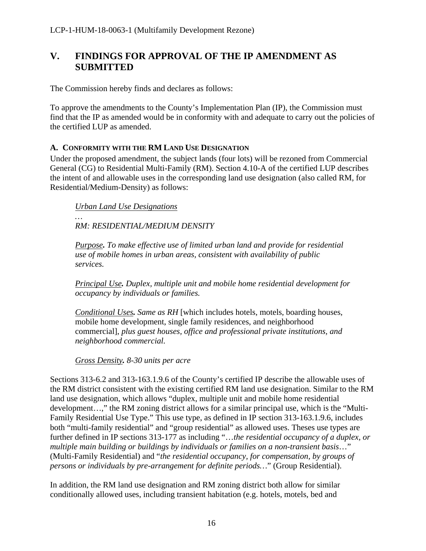## <span id="page-15-0"></span>**V. FINDINGS FOR APPROVAL OF THE IP AMENDMENT AS SUBMITTED**

The Commission hereby finds and declares as follows:

To approve the amendments to the County's Implementation Plan (IP), the Commission must find that the IP as amended would be in conformity with and adequate to carry out the policies of the certified LUP as amended.

#### <span id="page-15-1"></span>**A. CONFORMITY WITH THE RM LAND USE DESIGNATION**

Under the proposed amendment, the subject lands (four lots) will be rezoned from Commercial General (CG) to Residential Multi-Family (RM). Section 4.10-A of the certified LUP describes the intent of and allowable uses in the corresponding land use designation (also called RM, for Residential/Medium-Density) as follows:

*Urban Land Use Designations*

*… RM: RESIDENTIAL/MEDIUM DENSITY*

*Purpose. To make effective use of limited urban land and provide for residential use of mobile homes in urban areas, consistent with availability of public services.*

*Principal Use. Duplex, multiple unit and mobile home residential development for occupancy by individuals or families.*

*Conditional Uses. Same as RH* [which includes hotels, motels, boarding houses, mobile home development, single family residences, and neighborhood commercial], *plus guest houses, office and professional private institutions, and neighborhood commercial.*

*Gross Density. 8-30 units per acre*

Sections 313-6.2 and 313-163.1.9.6 of the County's certified IP describe the allowable uses of the RM district consistent with the existing certified RM land use designation. Similar to the RM land use designation, which allows "duplex, multiple unit and mobile home residential development…," the RM zoning district allows for a similar principal use, which is the "Multi-Family Residential Use Type." This use type, as defined in IP section 313-163.1.9.6, includes both "multi-family residential" and "group residential" as allowed uses. Theses use types are further defined in IP sections 313-177 as including "…*the residential occupancy of a duplex, or multiple main building or buildings by individuals or families on a non-transient basis*…" (Multi-Family Residential) and "*the residential occupancy, for compensation, by groups of persons or individuals by pre-arrangement for definite periods…*" (Group Residential).

In addition, the RM land use designation and RM zoning district both allow for similar conditionally allowed uses, including transient habitation (e.g. hotels, motels, bed and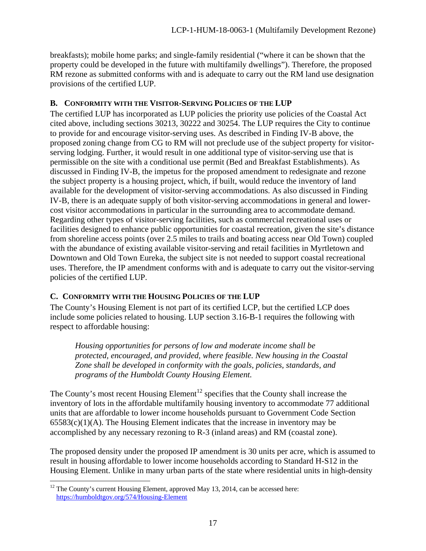breakfasts); mobile home parks; and single-family residential ("where it can be shown that the property could be developed in the future with multifamily dwellings"). Therefore, the proposed RM rezone as submitted conforms with and is adequate to carry out the RM land use designation provisions of the certified LUP.

## <span id="page-16-0"></span>**B. CONFORMITY WITH THE VISITOR-SERVING POLICIES OF THE LUP**

The certified LUP has incorporated as LUP policies the priority use policies of the Coastal Act cited above, including sections 30213, 30222 and 30254. The LUP requires the City to continue to provide for and encourage visitor-serving uses. As described in Finding IV-B above, the proposed zoning change from CG to RM will not preclude use of the subject property for visitorserving lodging. Further, it would result in one additional type of visitor-serving use that is permissible on the site with a conditional use permit (Bed and Breakfast Establishments). As discussed in Finding IV-B, the impetus for the proposed amendment to redesignate and rezone the subject property is a housing project, which, if built, would reduce the inventory of land available for the development of visitor-serving accommodations. As also discussed in Finding IV-B, there is an adequate supply of both visitor-serving accommodations in general and lowercost visitor accommodations in particular in the surrounding area to accommodate demand. Regarding other types of visitor-serving facilities, such as commercial recreational uses or facilities designed to enhance public opportunities for coastal recreation, given the site's distance from shoreline access points (over 2.5 miles to trails and boating access near Old Town) coupled with the abundance of existing available visitor-serving and retail facilities in Myrtletown and Downtown and Old Town Eureka, the subject site is not needed to support coastal recreational uses. Therefore, the IP amendment conforms with and is adequate to carry out the visitor-serving policies of the certified LUP.

## <span id="page-16-1"></span>**C. CONFORMITY WITH THE HOUSING POLICIES OF THE LUP**

The County's Housing Element is not part of its certified LCP, but the certified LCP does include some policies related to housing. LUP section 3.16-B-1 requires the following with respect to affordable housing:

*Housing opportunities for persons of low and moderate income shall be protected, encouraged, and provided, where feasible. New housing in the Coastal Zone shall be developed in conformity with the goals, policies, standards, and programs of the Humboldt County Housing Element.*

The County's most recent Housing Element<sup>12</sup> specifies that the County shall increase the inventory of lots in the affordable multifamily housing inventory to accommodate 77 additional units that are affordable to lower income households pursuant to Government Code Section  $65583(c)(1)(A)$ . The Housing Element indicates that the increase in inventory may be accomplished by any necessary rezoning to R-3 (inland areas) and RM (coastal zone).

The proposed density under the proposed IP amendment is 30 units per acre, which is assumed to result in housing affordable to lower income households according to Standard H-S12 in the Housing Element. Unlike in many urban parts of the state where residential units in high-density

<sup>&</sup>lt;sup>12</sup> The County's current Housing Element, approved May 13, 2014, can be accessed here: <https://humboldtgov.org/574/Housing-Element>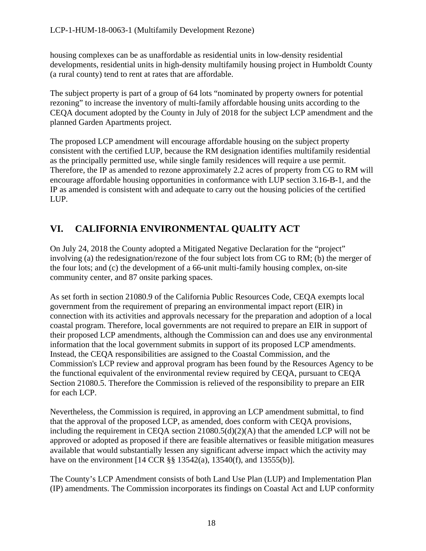housing complexes can be as unaffordable as residential units in low-density residential developments, residential units in high-density multifamily housing project in Humboldt County (a rural county) tend to rent at rates that are affordable.

The subject property is part of a group of 64 lots "nominated by property owners for potential rezoning" to increase the inventory of multi-family affordable housing units according to the CEQA document adopted by the County in July of 2018 for the subject LCP amendment and the planned Garden Apartments project.

The proposed LCP amendment will encourage affordable housing on the subject property consistent with the certified LUP, because the RM designation identifies multifamily residential as the principally permitted use, while single family residences will require a use permit. Therefore, the IP as amended to rezone approximately 2.2 acres of property from CG to RM will encourage affordable housing opportunities in conformance with LUP section 3.16-B-1, and the IP as amended is consistent with and adequate to carry out the housing policies of the certified LUP.

## <span id="page-17-0"></span>**VI. CALIFORNIA ENVIRONMENTAL QUALITY ACT**

On July 24, 2018 the County adopted a Mitigated Negative Declaration for the "project" involving (a) the redesignation/rezone of the four subject lots from CG to RM; (b) the merger of the four lots; and (c) the development of a 66-unit multi-family housing complex, on-site community center, and 87 onsite parking spaces.

As set forth in section 21080.9 of the California Public Resources Code, CEQA exempts local government from the requirement of preparing an environmental impact report (EIR) in connection with its activities and approvals necessary for the preparation and adoption of a local coastal program. Therefore, local governments are not required to prepare an EIR in support of their proposed LCP amendments, although the Commission can and does use any environmental information that the local government submits in support of its proposed LCP amendments. Instead, the CEQA responsibilities are assigned to the Coastal Commission, and the Commission's LCP review and approval program has been found by the Resources Agency to be the functional equivalent of the environmental review required by CEQA, pursuant to CEQA Section 21080.5. Therefore the Commission is relieved of the responsibility to prepare an EIR for each LCP.

Nevertheless, the Commission is required, in approving an LCP amendment submittal, to find that the approval of the proposed LCP, as amended, does conform with CEQA provisions, including the requirement in CEOA section  $21080.5(d)(2)(A)$  that the amended LCP will not be approved or adopted as proposed if there are feasible alternatives or feasible mitigation measures available that would substantially lessen any significant adverse impact which the activity may have on the environment [14 CCR §§ 13542(a), 13540(f), and 13555(b)].

The County's LCP Amendment consists of both Land Use Plan (LUP) and Implementation Plan (IP) amendments. The Commission incorporates its findings on Coastal Act and LUP conformity